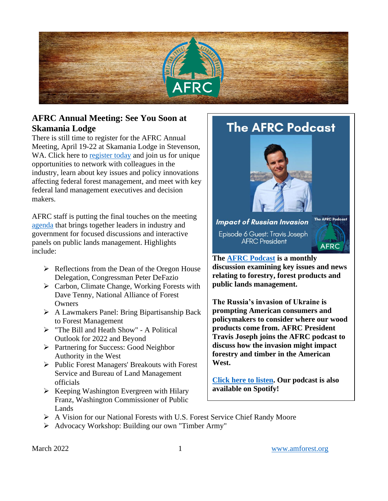

## **AFRC Annual Meeting: See You Soon at Skamania Lodge**

There is still time to register for the AFRC Annual Meeting, April 19-22 at Skamania Lodge in Stevenson, WA. Click here to [register today](https://web.cvent.com/event/51d63392-4308-4951-b478-8ef588ec7bcb/regProcessStep1) and join us for unique opportunities to network with colleagues in the industry, learn about key issues and policy innovations affecting federal forest management, and meet with key federal land management executives and decision makers.

AFRC staff is putting the final touches on the meeting [agenda](https://web.cvent.com/event/51d63392-4308-4951-b478-8ef588ec7bcb/websitePage:85223911-e060-499c-885f-f8477b408c98) that brings together leaders in industry and government for focused discussions and interactive panels on public lands management. Highlights include:

- $\triangleright$  Reflections from the Dean of the Oregon House Delegation, Congressman Peter DeFazio
- ➢ Carbon, Climate Change, Working Forests with Dave Tenny, National Alliance of Forest **Owners**
- ➢ A Lawmakers Panel: Bring Bipartisanship Back to Forest Management
- ➢ "The Bill and Heath Show" A Political Outlook for 2022 and Beyond
- ➢ Partnering for Success: Good Neighbor Authority in the West
- ➢ Public Forest Managers' Breakouts with Forest Service and Bureau of Land Management officials
- $\triangleright$  Keeping Washington Evergreen with Hilary Franz, Washington Commissioner of Public Lands

# **The AFRC Podcast**



**Impact of Russian Invasion** Episode 6 Guest: Travis Joseph **AFRC President** 



#### **The [AFRC Podcast](https://anchor.fm/afrc-forestry/) is a monthly discussion examining key issues and news relating to forestry, forest products and public lands management.**

**The Russia's invasion of Ukraine is prompting American consumers and policymakers to consider where our wood products come from. AFRC President Travis Joseph joins the AFRC podcast to discuss how the invasion might impact forestry and timber in the American West.**

**[Click here to listen.](https://anchor.fm/afrc-forestry/episodes/Episode-7-How-Russias-Invasion-Could-Impact-Timber-and-Forestry-in-the-West-e1gepbr) Our podcast is also available on Spotify!**

- ➢ A Vision for our National Forests with U.S. Forest Service Chief Randy Moore
- ➢ Advocacy Workshop: Building our own "Timber Army"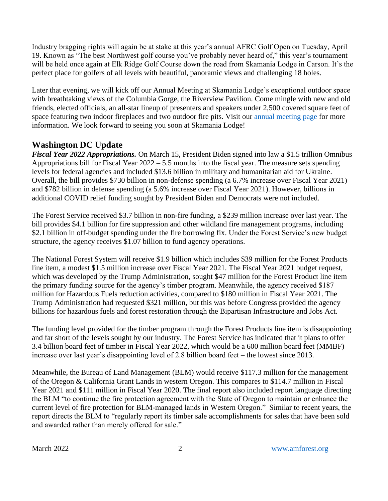Industry bragging rights will again be at stake at this year's annual AFRC Golf Open on Tuesday, April 19. Known as "The best Northwest golf course you've probably never heard of," this year's tournament will be held once again at Elk Ridge Golf Course down the road from Skamania Lodge in Carson. It's the perfect place for golfers of all levels with beautiful, panoramic views and challenging 18 holes.

Later that evening, we will kick off our Annual Meeting at Skamania Lodge's exceptional outdoor space with breathtaking views of the Columbia Gorge, the Riverview Pavilion. Come mingle with new and old friends, elected officials, an all-star lineup of presenters and speakers under 2,500 covered square feet of space featuring two indoor fireplaces and two outdoor fire pits. Visit our [annual meeting page](https://cvent.me/17Wgo9) for more information. We look forward to seeing you soon at Skamania Lodge!

#### **Washington DC Update**

*Fiscal Year 2022 Appropriations.* On March 15, President Biden signed into law a \$1.5 trillion Omnibus Appropriations bill for Fiscal Year 2022 – 5.5 months into the fiscal year. The measure sets spending levels for federal agencies and included \$13.6 billion in military and humanitarian aid for Ukraine. Overall, the bill provides \$730 billion in non-defense spending (a 6.7% increase over Fiscal Year 2021) and \$782 billion in defense spending (a 5.6% increase over Fiscal Year 2021). However, billions in additional COVID relief funding sought by President Biden and Democrats were not included.

The Forest Service received \$3.7 billion in non-fire funding, a \$239 million increase over last year. The bill provides \$4.1 billion for fire suppression and other wildland fire management programs, including \$2.1 billion in off-budget spending under the fire borrowing fix. Under the Forest Service's new budget structure, the agency receives \$1.07 billion to fund agency operations.

The National Forest System will receive \$1.9 billion which includes \$39 million for the Forest Products line item, a modest \$1.5 million increase over Fiscal Year 2021. The Fiscal Year 2021 budget request, which was developed by the Trump Administration, sought \$47 million for the Forest Product line item – the primary funding source for the agency's timber program. Meanwhile, the agency received \$187 million for Hazardous Fuels reduction activities, compared to \$180 million in Fiscal Year 2021. The Trump Administration had requested \$321 million, but this was before Congress provided the agency billions for hazardous fuels and forest restoration through the Bipartisan Infrastructure and Jobs Act.

The funding level provided for the timber program through the Forest Products line item is disappointing and far short of the levels sought by our industry. The Forest Service has indicated that it plans to offer 3.4 billion board feet of timber in Fiscal Year 2022, which would be a 600 million board feet (MMBF) increase over last year's disappointing level of 2.8 billion board feet – the lowest since 2013.

Meanwhile, the Bureau of Land Management (BLM) would receive \$117.3 million for the management of the Oregon & California Grant Lands in western Oregon. This compares to \$114.7 million in Fiscal Year 2021 and \$111 million in Fiscal Year 2020. The final report also included report language directing the BLM "to continue the fire protection agreement with the State of Oregon to maintain or enhance the current level of fire protection for BLM-managed lands in Western Oregon." Similar to recent years, the report directs the BLM to "regularly report its timber sale accomplishments for sales that have been sold and awarded rather than merely offered for sale."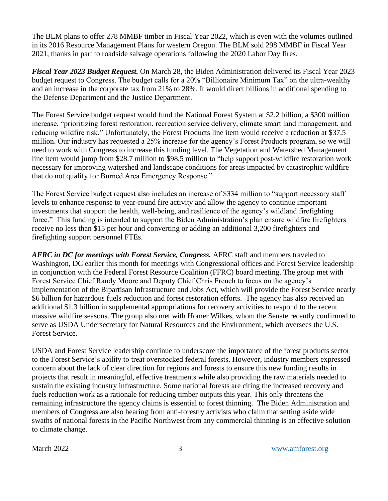The BLM plans to offer 278 MMBF timber in Fiscal Year 2022, which is even with the volumes outlined in its 2016 Resource Management Plans for western Oregon. The BLM sold 298 MMBF in Fiscal Year 2021, thanks in part to roadside salvage operations following the 2020 Labor Day fires.

*Fiscal Year 2023 Budget Request.* On March 28, the Biden Administration delivered its Fiscal Year 2023 budget request to Congress. The budget calls for a 20% "Billionaire Minimum Tax" on the ultra-wealthy and an increase in the corporate tax from 21% to 28%. It would direct billions in additional spending to the Defense Department and the Justice Department.

The Forest Service budget request would fund the National Forest System at \$2.2 billion, a \$300 million increase, "prioritizing forest restoration, recreation service delivery, climate smart land management, and reducing wildfire risk." Unfortunately, the Forest Products line item would receive a reduction at \$37.5 million. Our industry has requested a 25% increase for the agency's Forest Products program, so we will need to work with Congress to increase this funding level. The Vegetation and Watershed Management line item would jump from \$28.7 million to \$98.5 million to "help support post-wildfire restoration work necessary for improving watershed and landscape conditions for areas impacted by catastrophic wildfire that do not qualify for Burned Area Emergency Response."

The Forest Service budget request also includes an increase of \$334 million to "support necessary staff levels to enhance response to year-round fire activity and allow the agency to continue important investments that support the health, well-being, and resilience of the agency's wildland firefighting force." This funding is intended to support the Biden Administration's plan ensure wildfire firefighters receive no less than \$15 per hour and converting or adding an additional 3,200 firefighters and firefighting support personnel FTEs.

*AFRC in DC for meetings with Forest Service, Congress.* AFRC staff and members traveled to Washington, DC earlier this month for meetings with Congressional offices and Forest Service leadership in conjunction with the Federal Forest Resource Coalition (FFRC) board meeting. The group met with Forest Service Chief Randy Moore and Deputy Chief Chris French to focus on the agency's implementation of the Bipartisan Infrastructure and Jobs Act, which will provide the Forest Service nearly \$6 billion for hazardous fuels reduction and forest restoration efforts. The agency has also received an additional \$1.3 billion in supplemental appropriations for recovery activities to respond to the recent massive wildfire seasons. The group also met with Homer Wilkes, whom the Senate recently confirmed to serve as USDA Undersecretary for Natural Resources and the Environment, which oversees the U.S. Forest Service.

USDA and Forest Service leadership continue to underscore the importance of the forest products sector to the Forest Service's ability to treat overstocked federal forests. However, industry members expressed concern about the lack of clear direction for regions and forests to ensure this new funding results in projects that result in meaningful, effective treatments while also providing the raw materials needed to sustain the existing industry infrastructure. Some national forests are citing the increased recovery and fuels reduction work as a rationale for reducing timber outputs this year. This only threatens the remaining infrastructure the agency claims is essential to forest thinning. The Biden Administration and members of Congress are also hearing from anti-forestry activists who claim that setting aside wide swaths of national forests in the Pacific Northwest from any commercial thinning is an effective solution to climate change.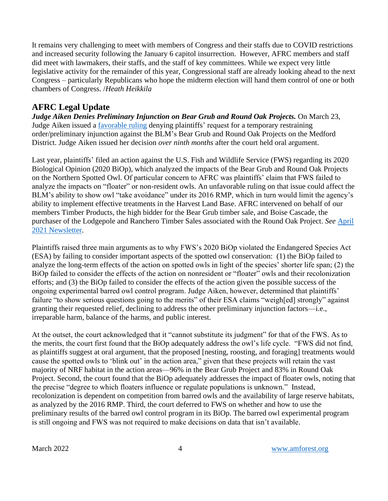It remains very challenging to meet with members of Congress and their staffs due to COVID restrictions and increased security following the January 6 capitol insurrection. However, AFRC members and staff did meet with lawmakers, their staffs, and the staff of key committees. While we expect very little legislative activity for the remainder of this year, Congressional staff are already looking ahead to the next Congress – particularly Republicans who hope the midterm election will hand them control of one or both chambers of Congress. /*Heath Heikkila*

# **AFRC Legal Update**

*Judge Aiken Denies Preliminary Injunction on Bear Grub and Round Oak Projects.* On March 23, Judge Aiken issued a [favorable ruling](https://amforest.org/wp-content/uploads/2022/03/bg_op.pdf) denying plaintiffs' request for a temporary restraining order/preliminary injunction against the BLM's Bear Grub and Round Oak Projects on the Medford District. Judge Aiken issued her decision *over ninth months* after the court held oral argument.

Last year, plaintiffs' filed an action against the U.S. Fish and Wildlife Service (FWS) regarding its 2020 Biological Opinion (2020 BiOp), which analyzed the impacts of the Bear Grub and Round Oak Projects on the Northern Spotted Owl. Of particular concern to AFRC was plaintiffs' claim that FWS failed to analyze the impacts on "floater" or non-resident owls. An unfavorable ruling on that issue could affect the BLM's ability to show owl "take avoidance" under its 2016 RMP, which in turn would limit the agency's ability to implement effective treatments in the Harvest Land Base. AFRC intervened on behalf of our members Timber Products, the high bidder for the Bear Grub timber sale, and Boise Cascade, the purchaser of the Lodgepole and Ranchero Timber Sales associated with the Round Oak Project. *See* [April](https://amforest.org/wp-content/uploads/2021/04/April-2021-Newsletter-1.pdf)  [2021 Newsletter.](https://amforest.org/wp-content/uploads/2021/04/April-2021-Newsletter-1.pdf)

Plaintiffs raised three main arguments as to why FWS's 2020 BiOp violated the Endangered Species Act (ESA) by failing to consider important aspects of the spotted owl conservation: (1) the BiOp failed to analyze the long-term effects of the action on spotted owls in light of the species' shorter life span; (2) the BiOp failed to consider the effects of the action on nonresident or "floater" owls and their recolonization efforts; and (3) the BiOp failed to consider the effects of the action given the possible success of the ongoing experimental barred owl control program. Judge Aiken, however, determined that plaintiffs' failure "to show serious questions going to the merits" of their ESA claims "weigh[ed] strongly" against granting their requested relief, declining to address the other preliminary injunction factors—i.e., irreparable harm, balance of the harms, and public interest.

At the outset, the court acknowledged that it "cannot substitute its judgment" for that of the FWS. As to the merits, the court first found that the BiOp adequately address the owl's life cycle. "FWS did not find, as plaintiffs suggest at oral argument, that the proposed [nesting, roosting, and foraging] treatments would cause the spotted owls to 'blink out' in the action area," given that these projects will retain the vast majority of NRF habitat in the action areas—96% in the Bear Grub Project and 83% in Round Oak Project. Second, the court found that the BiOp adequately addresses the impact of floater owls, noting that the precise "degree to which floaters influence or regulate populations is unknown." Instead, recolonization is dependent on competition from barred owls and the availability of large reserve habitats, as analyzed by the 2016 RMP. Third, the court deferred to FWS on whether and how to use the preliminary results of the barred owl control program in its BiOp. The barred owl experimental program is still ongoing and FWS was not required to make decisions on data that isn't available.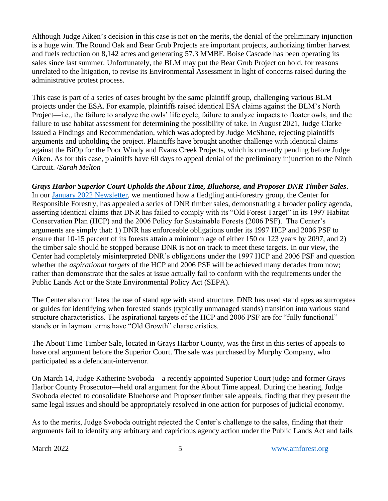Although Judge Aiken's decision in this case is not on the merits, the denial of the preliminary injunction is a huge win. The Round Oak and Bear Grub Projects are important projects, authorizing timber harvest and fuels reduction on 8,142 acres and generating 57.3 MMBF. Boise Cascade has been operating its sales since last summer. Unfortunately, the BLM may put the Bear Grub Project on hold, for reasons unrelated to the litigation, to revise its Environmental Assessment in light of concerns raised during the administrative protest process.

This case is part of a series of cases brought by the same plaintiff group, challenging various BLM projects under the ESA. For example, plaintiffs raised identical ESA claims against the BLM's North Project—i.e., the failure to analyze the owls' life cycle, failure to analyze impacts to floater owls, and the failure to use habitat assessment for determining the possibility of take. In August 2021, Judge Clarke issued a Findings and Recommendation, which was adopted by Judge McShane, rejecting plaintiffs arguments and upholding the project. Plaintiffs have brought another challenge with identical claims against the BiOp for the Poor Windy and Evans Creek Projects, which is currently pending before Judge Aiken. As for this case, plaintiffs have 60 days to appeal denial of the preliminary injunction to the Ninth Circuit. /*Sarah Melton*

*Grays Harbor Superior Court Upholds the About Time, Bluehorse, and Proposer DNR Timber Sales*. In our [January 2022 Newsletter,](https://amforest.org/wp-content/uploads/2022/01/January-2022-Newsletter.pdf) we mentioned how a fledgling anti-forestry group, the Center for Responsible Forestry, has appealed a series of DNR timber sales, demonstrating a broader policy agenda, asserting identical claims that DNR has failed to comply with its "Old Forest Target" in its 1997 Habitat Conservation Plan (HCP) and the 2006 Policy for Sustainable Forests (2006 PSF). The Center's arguments are simply that: 1) DNR has enforceable obligations under its 1997 HCP and 2006 PSF to ensure that 10-15 percent of its forests attain a minimum age of either 150 or 123 years by 2097, and 2) the timber sale should be stopped because DNR is not on track to meet these targets. In our view, the Center had completely misinterpreted DNR's obligations under the 1997 HCP and 2006 PSF and question whether the *aspirational targets* of the HCP and 2006 PSF will be achieved many decades from now; rather than demonstrate that the sales at issue actually fail to conform with the requirements under the Public Lands Act or the State Environmental Policy Act (SEPA).

The Center also conflates the use of stand age with stand structure. DNR has used stand ages as surrogates or guides for identifying when forested stands (typically unmanaged stands) transition into various stand structure characteristics. The aspirational targets of the HCP and 2006 PSF are for "fully functional" stands or in layman terms have "Old Growth" characteristics.

The About Time Timber Sale, located in Grays Harbor County, was the first in this series of appeals to have oral argument before the Superior Court. The sale was purchased by Murphy Company, who participated as a defendant-intervenor.

On March 14, Judge Katherine Svoboda—a recently appointed Superior Court judge and former Grays Harbor County Prosecutor—held oral argument for the About Time appeal. During the hearing, Judge Svoboda elected to consolidate Bluehorse and Proposer timber sale appeals, finding that they present the same legal issues and should be appropriately resolved in one action for purposes of judicial economy.

As to the merits, Judge Svoboda outright rejected the Center's challenge to the sales, finding that their arguments fail to identify any arbitrary and capricious agency action under the Public Lands Act and fails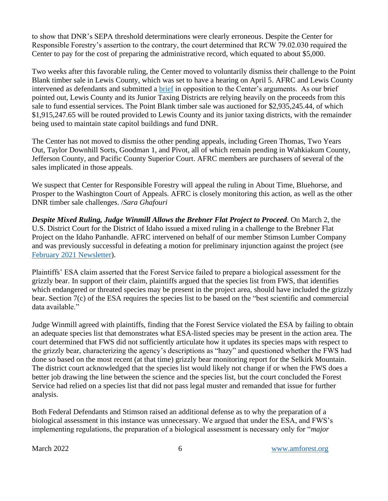to show that DNR's SEPA threshold determinations were clearly erroneous. Despite the Center for Responsible Forestry's assertion to the contrary, the court determined that RCW 79.02.030 required the Center to pay for the cost of preparing the administrative record, which equated to about \$5,000.

Two weeks after this favorable ruling, the Center moved to voluntarily dismiss their challenge to the Point Blank timber sale in Lewis County, which was set to have a hearing on April 5. AFRC and Lewis County intervened as defendants and submitted a [brief](https://amforest.org/wp-content/uploads/2022/03/2022.03.17-Lewis-County-AFRCs-Response-Brief.pdf) in opposition to the Center's arguments. As our brief pointed out, Lewis County and its Junior Taxing Districts are relying heavily on the proceeds from this sale to fund essential services. The Point Blank timber sale was auctioned for \$2,935,245.44, of which \$1,915,247.65 will be routed provided to Lewis County and its junior taxing districts, with the remainder being used to maintain state capitol buildings and fund DNR.

The Center has not moved to dismiss the other pending appeals, including Green Thomas, Two Years Out, Taylor Downhill Sorts, Goodman 1, and Pivot, all of which remain pending in Wahkiakum County, Jefferson County, and Pacific County Superior Court. AFRC members are purchasers of several of the sales implicated in those appeals.

We suspect that Center for Responsible Forestry will appeal the ruling in About Time, Bluehorse, and Prosper to the Washington Court of Appeals. AFRC is closely monitoring this action, as well as the other DNR timber sale challenges. /*Sara Ghafouri*

*Despite Mixed Ruling, Judge Winmill Allows the Brebner Flat Project to Proceed.* On March 2, the U.S. District Court for the District of Idaho issued a mixed ruling in a challenge to the Brebner Flat Project on the Idaho Panhandle. AFRC intervened on behalf of our member Stimson Lumber Company and was previously successful in defeating a motion for preliminary injunction against the project (see [February 2021 Newsletter\)](https://amforest.org/wp-content/uploads/2022/03/February-2022-Newsletter.pdf).

Plaintiffs' ESA claim asserted that the Forest Service failed to prepare a biological assessment for the grizzly bear. In support of their claim, plaintiffs argued that the species list from FWS, that identifies which endangered or threated species may be present in the project area, should have included the grizzly bear. Section 7(c) of the ESA requires the species list to be based on the "best scientific and commercial data available."

Judge Winmill agreed with plaintiffs, finding that the Forest Service violated the ESA by failing to obtain an adequate species list that demonstrates what ESA-listed species may be present in the action area. The court determined that FWS did not sufficiently articulate how it updates its species maps with respect to the grizzly bear, characterizing the agency's descriptions as "hazy" and questioned whether the FWS had done so based on the most recent (at that time) grizzly bear monitoring report for the Selkirk Mountain. The district court acknowledged that the species list would likely not change if or when the FWS does a better job drawing the line between the science and the species list, but the court concluded the Forest Service had relied on a species list that did not pass legal muster and remanded that issue for further analysis.

Both Federal Defendants and Stimson raised an additional defense as to why the preparation of a biological assessment in this instance was unnecessary. We argued that under the ESA, and FWS's implementing regulations, the preparation of a biological assessment is necessary only for "*major*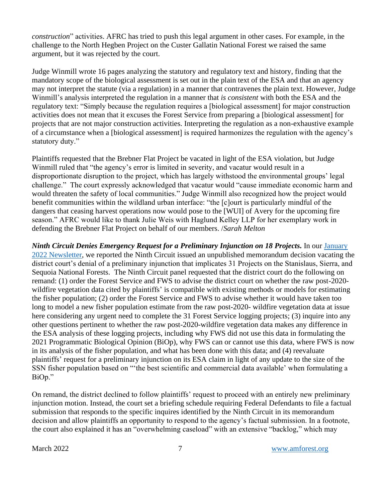*construction*" activities. AFRC has tried to push this legal argument in other cases. For example, in the challenge to the North Hegben Project on the Custer Gallatin National Forest we raised the same argument, but it was rejected by the court.

Judge Winmill wrote 16 pages analyzing the statutory and regulatory text and history, finding that the mandatory scope of the biological assessment is set out in the plain text of the ESA and that an agency may not interpret the statute (via a regulation) in a manner that contravenes the plain text. However, Judge Winmill's analysis interpreted the regulation in a manner that *is consistent* with both the ESA and the regulatory text: "Simply because the regulation requires a [biological assessment] for major construction activities does not mean that it excuses the Forest Service from preparing a [biological assessment] for projects that are not major construction activities. Interpreting the regulation as a non-exhaustive example of a circumstance when a [biological assessment] is required harmonizes the regulation with the agency's statutory duty."

Plaintiffs requested that the Brebner Flat Project be vacated in light of the ESA violation, but Judge Winmill ruled that "the agency's error is limited in severity, and vacatur would result in a disproportionate disruption to the project, which has largely withstood the environmental groups' legal challenge." The court expressly acknowledged that vacatur would "cause immediate economic harm and would threaten the safety of local communities." Judge Winmill also recognized how the project would benefit communities within the wildland urban interface: "the [c]ourt is particularly mindful of the dangers that ceasing harvest operations now would pose to the [WUI] of Avery for the upcoming fire season." AFRC would like to thank Julie Weis with Haglund Kelley LLP for her exemplary work in defending the Brebner Flat Project on behalf of our members. /*Sarah Melton*

*Ninth Circuit Denies Emergency Request for a Preliminary Injunction on 18 Projects.* In our [January](https://amforest.org/wp-content/uploads/2022/01/January-2022-Newsletter.pdf)  [2022 Newsletter,](https://amforest.org/wp-content/uploads/2022/01/January-2022-Newsletter.pdf) we reported the Ninth Circuit issued an unpublished memorandum decision vacating the district court's denial of a preliminary injunction that implicates 31 Projects on the Stanislaus, Sierra, and Sequoia National Forests. The Ninth Circuit panel requested that the district court do the following on remand: (1) order the Forest Service and FWS to advise the district court on whether the raw post-2020 wildfire vegetation data cited by plaintiffs' is compatible with existing methods or models for estimating the fisher population; (2) order the Forest Service and FWS to advise whether it would have taken too long to model a new fisher population estimate from the raw post-2020- wildfire vegetation data at issue here considering any urgent need to complete the 31 Forest Service logging projects; (3) inquire into any other questions pertinent to whether the raw post-2020-wildfire vegetation data makes any difference in the ESA analysis of these logging projects, including why FWS did not use this data in formulating the 2021 Programmatic Biological Opinion (BiOp), why FWS can or cannot use this data, where FWS is now in its analysis of the fisher population, and what has been done with this data; and (4) reevaluate plaintiffs' request for a preliminary injunction on its ESA claim in light of any update to the size of the SSN fisher population based on "'the best scientific and commercial data available' when formulating a BiOp."

On remand, the district declined to follow plaintiffs' request to proceed with an entirely new preliminary injunction motion. Instead, the court set a briefing schedule requiring Federal Defendants to file a factual submission that responds to the specific inquires identified by the Ninth Circuit in its memorandum decision and allow plaintiffs an opportunity to respond to the agency's factual submission. In a footnote, the court also explained it has an "overwhelming caseload" with an extensive "backlog," which may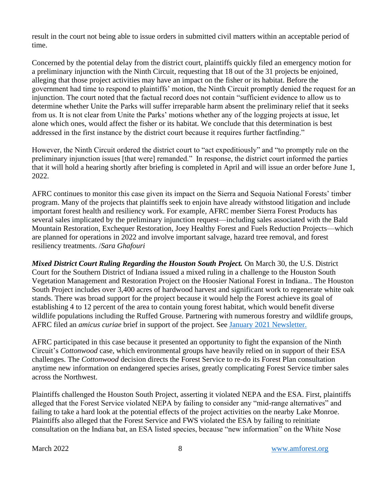result in the court not being able to issue orders in submitted civil matters within an acceptable period of time.

Concerned by the potential delay from the district court, plaintiffs quickly filed an emergency motion for a preliminary injunction with the Ninth Circuit, requesting that 18 out of the 31 projects be enjoined, alleging that those project activities may have an impact on the fisher or its habitat. Before the government had time to respond to plaintiffs' motion, the Ninth Circuit promptly denied the request for an injunction. The court noted that the factual record does not contain "sufficient evidence to allow us to determine whether Unite the Parks will suffer irreparable harm absent the preliminary relief that it seeks from us. It is not clear from Unite the Parks' motions whether any of the logging projects at issue, let alone which ones, would affect the fisher or its habitat. We conclude that this determination is best addressed in the first instance by the district court because it requires further factfinding."

However, the Ninth Circuit ordered the district court to "act expeditiously" and "to promptly rule on the preliminary injunction issues [that were] remanded." In response, the district court informed the parties that it will hold a hearing shortly after briefing is completed in April and will issue an order before June 1, 2022.

AFRC continues to monitor this case given its impact on the Sierra and Sequoia National Forests' timber program. Many of the projects that plaintiffs seek to enjoin have already withstood litigation and include important forest health and resiliency work. For example, AFRC member Sierra Forest Products has several sales implicated by the preliminary injunction request—including sales associated with the Bald Mountain Restoration, Exchequer Restoration, Joey Healthy Forest and Fuels Reduction Projects—which are planned for operations in 2022 and involve important salvage, hazard tree removal, and forest resiliency treatments. /*Sara Ghafouri*

*Mixed District Court Ruling Regarding the Houston South Project.* On March 30, the U.S. District Court for the Southern District of Indiana issued a mixed ruling in a challenge to the Houston South Vegetation Management and Restoration Project on the Hoosier National Forest in Indiana.. The Houston South Project includes over 3,400 acres of hardwood harvest and significant work to regenerate white oak stands. There was broad support for the project because it would help the Forest achieve its goal of establishing 4 to 12 percent of the area to contain young forest habitat, which would benefit diverse wildlife populations including the Ruffed Grouse. Partnering with numerous forestry and wildlife groups, AFRC filed an *amicus curiae* brief in support of the project. See [January 2021 Newsletter.](https://amforest.org/wp-content/uploads/2021/04/January-2021-Newsletter.pdf)

AFRC participated in this case because it presented an opportunity to fight the expansion of the Ninth Circuit's *Cottonwood* case, which environmental groups have heavily relied on in support of their ESA challenges. The *Cottonwood* decision directs the Forest Service to re-do its Forest Plan consultation anytime new information on endangered species arises, greatly complicating Forest Service timber sales across the Northwest.

Plaintiffs challenged the Houston South Project, asserting it violated NEPA and the ESA. First, plaintiffs alleged that the Forest Service violated NEPA by failing to consider any "mid-range alternatives" and failing to take a hard look at the potential effects of the project activities on the nearby Lake Monroe. Plaintiffs also alleged that the Forest Service and FWS violated the ESA by failing to reinitiate consultation on the Indiana bat, an ESA listed species, because "new information" on the White Nose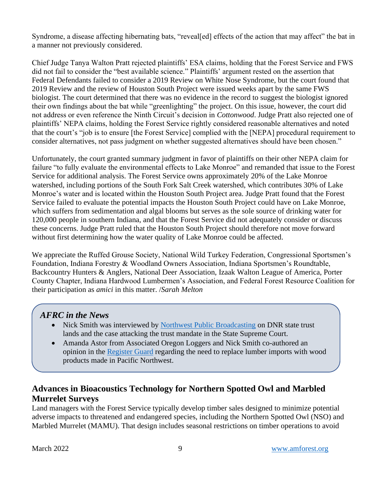Syndrome, a disease affecting hibernating bats, "reveal[ed] effects of the action that may affect" the bat in a manner not previously considered.

Chief Judge Tanya Walton Pratt rejected plaintiffs' ESA claims, holding that the Forest Service and FWS did not fail to consider the "best available science." Plaintiffs' argument rested on the assertion that Federal Defendants failed to consider a 2019 Review on White Nose Syndrome, but the court found that 2019 Review and the review of Houston South Project were issued weeks apart by the same FWS biologist. The court determined that there was no evidence in the record to suggest the biologist ignored their own findings about the bat while "greenlighting" the project. On this issue, however, the court did not address or even reference the Ninth Circuit's decision in *Cottonwood*. Judge Pratt also rejected one of plaintiffs' NEPA claims, holding the Forest Service rightly considered reasonable alternatives and noted that the court's "job is to ensure [the Forest Service] complied with the [NEPA] procedural requirement to consider alternatives, not pass judgment on whether suggested alternatives should have been chosen."

Unfortunately, the court granted summary judgment in favor of plaintiffs on their other NEPA claim for failure "to fully evaluate the environmental effects to Lake Monroe" and remanded that issue to the Forest Service for additional analysis. The Forest Service owns approximately 20% of the Lake Monroe watershed, including portions of the South Fork Salt Creek watershed, which contributes 30% of Lake Monroe's water and is located within the Houston South Project area. Judge Pratt found that the Forest Service failed to evaluate the potential impacts the Houston South Project could have on Lake Monroe, which suffers from sedimentation and algal blooms but serves as the sole source of drinking water for 120,000 people in southern Indiana, and that the Forest Service did not adequately consider or discuss these concerns. Judge Pratt ruled that the Houston South Project should therefore not move forward without first determining how the water quality of Lake Monroe could be affected.

We appreciate the Ruffed Grouse Society, National Wild Turkey Federation, Congressional Sportsmen's Foundation, Indiana Forestry & Woodland Owners Association, Indiana Sportsmen's Roundtable, Backcountry Hunters & Anglers, National Deer Association, Izaak Walton League of America, Porter County Chapter, Indiana Hardwood Lumbermen's Association, and Federal Forest Resource Coalition for their participation as *amici* in this matter. /*Sarah Melton*

#### *AFRC in the News*

- Nick Smith was interviewed by [Northwest Public Broadcasting](https://www.nwpb.org/2022/03/30/the-fight-for-legacy-forests-the-supreme-court-case/) on DNR state trust lands and the case attacking the trust mandate in the State Supreme Court.
- Amanda Astor from Associated Oregon Loggers and Nick Smith co-authored an opinion in the [Register Guard](https://www.registerguard.com/story/opinion/columns/2022/03/19/logging-at-home-needs-prioritization-over-russian-imports/65345287007/) regarding the need to replace lumber imports with wood products made in Pacific Northwest.

# **Advances in Bioacoustics Technology for Northern Spotted Owl and Marbled Murrelet Surveys**

Land managers with the Forest Service typically develop timber sales designed to minimize potential adverse impacts to threatened and endangered species, including the Northern Spotted Owl (NSO) and Marbled Murrelet (MAMU). That design includes seasonal restrictions on timber operations to avoid

.<br>ب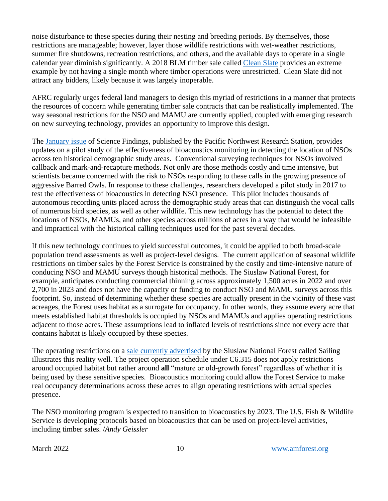noise disturbance to these species during their nesting and breeding periods. By themselves, those restrictions are manageable; however, layer those wildlife restrictions with wet-weather restrictions, summer fire shutdowns, recreation restrictions, and others, and the available days to operate in a single calendar year diminish significantly. A 2018 BLM timber sale called [Clean Slate](https://www.blm.gov/or/districts/medford/timbersales/files/Clean_Slate_Full_Contract.pdf) provides an extreme example by not having a single month where timber operations were unrestricted. Clean Slate did not attract any bidders, likely because it was largely inoperable.

AFRC regularly urges federal land managers to design this myriad of restrictions in a manner that protects the resources of concern while generating timber sale contracts that can be realistically implemented. The way seasonal restrictions for the NSO and MAMU are currently applied, coupled with emerging research on new surveying technology, provides an opportunity to improve this design.

The [January issue](https://www.fs.usda.gov/pnw/publications/bioacoustics-and-artificial-intelligence-new-chapter-northern-spotted-owl-monitoring) of Science Findings, published by the Pacific Northwest Research Station, provides updates on a pilot study of the effectiveness of bioacoustics monitoring in detecting the location of NSOs across ten historical demographic study areas. Conventional surveying techniques for NSOs involved callback and mark-and-recapture methods. Not only are those methods costly and time intensive, but scientists became concerned with the risk to NSOs responding to these calls in the growing presence of aggressive Barred Owls. In response to these challenges, researchers developed a pilot study in 2017 to test the effectiveness of bioacoustics in detecting NSO presence. This pilot includes thousands of autonomous recording units placed across the demographic study areas that can distinguish the vocal calls of numerous bird species, as well as other wildlife. This new technology has the potential to detect the locations of NSOs, MAMUs, and other species across millions of acres in a way that would be infeasible and impractical with the historical calling techniques used for the past several decades.

If this new technology continues to yield successful outcomes, it could be applied to both broad-scale population trend assessments as well as project-level designs. The current application of seasonal wildlife restrictions on timber sales by the Forest Service is constrained by the costly and time-intensive nature of conducing NSO and MAMU surveys though historical methods. The Siuslaw National Forest, for example, anticipates conducting commercial thinning across approximately 1,500 acres in 2022 and over 2,700 in 2023 and does not have the capacity or funding to conduct NSO and MAMU surveys across this footprint. So, instead of determining whether these species are actually present in the vicinity of these vast acreages, the Forest uses habitat as a surrogate for occupancy. In other words, they assume every acre that meets established habitat thresholds is occupied by NSOs and MAMUs and applies operating restrictions adjacent to those acres. These assumptions lead to inflated levels of restrictions since not every acre that contains habitat is likely occupied by these species.

The operating restrictions on a [sale currently advertised](https://www.fs.usda.gov/Internet/FSE_DOCUMENTS/fseprd1002316.pdf) by the Siuslaw National Forest called Sailing illustrates this reality well. The project operation schedule under C6.315 does not apply restrictions around occupied habitat but rather around **all** "mature or old-growth forest" regardless of whether it is being used by these sensitive species. Bioacoustics monitoring could allow the Forest Service to make real occupancy determinations across these acres to align operating restrictions with actual species presence.

The NSO monitoring program is expected to transition to bioacoustics by 2023. The U.S. Fish & Wildlife Service is developing protocols based on bioacoustics that can be used on project-level activities, including timber sales. /*Andy Geissler*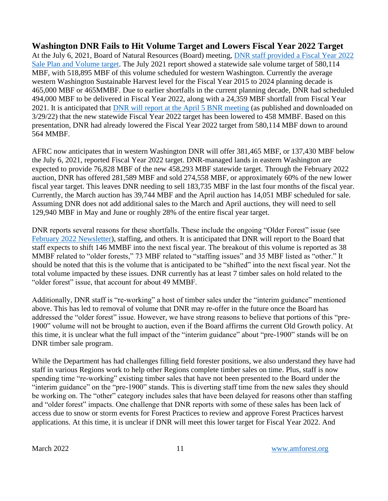**Washington DNR Fails to Hit Volume Target and Lowers Fiscal Year 2022 Target** At the July 6, 2021, Board of Natural Resources (Board) meeting, [DNR staff provided a Fiscal Year 2022](https://amforest.org/wp-content/uploads/2022/03/em_bc_bnr_ts_fy2223sch_07062021.pdf)  [Sale Plan and Volume target.](https://amforest.org/wp-content/uploads/2022/03/em_bc_bnr_ts_fy2223sch_07062021.pdf) The July 2021 report showed a statewide sale volume target of 580,114 MBF, with 518,895 MBF of this volume scheduled for western Washington. Currently the average western Washington Sustainable Harvest level for the Fiscal Year 2015 to 2024 planning decade is 465,000 MBF or 465MMBF. Due to earlier shortfalls in the current planning decade, DNR had scheduled 494,000 MBF to be delivered in Fiscal Year 2022, along with a 24,359 MBF shortfall from Fiscal Year 2021. It is anticipated that DNR will [report at the April 5](https://amforest.org/wp-content/uploads/2022/03/em_bc_bnr_tspres_04052022.pdf) BNR meeting (as published and downloaded on 3/29/22) that the new statewide Fiscal Year 2022 target has been lowered to 458 MMBF. Based on this presentation, DNR had already lowered the Fiscal Year 2022 target from 580,114 MBF down to around 564 MMBF.

AFRC now anticipates that in western Washington DNR will offer 381,465 MBF, or 137,430 MBF below the July 6, 2021, reported Fiscal Year 2022 target. DNR-managed lands in eastern Washington are expected to provide 76,828 MBF of the new 458,293 MBF statewide target. Through the February 2022 auction, DNR has offered 281,589 MBF and sold 274,558 MBF, or approximately 60% of the new lower fiscal year target. This leaves DNR needing to sell 183,735 MBF in the last four months of the fiscal year. Currently, the March auction has 39,744 MBF and the April auction has 14,051 MBF scheduled for sale. Assuming DNR does not add additional sales to the March and April auctions, they will need to sell 129,940 MBF in May and June or roughly 28% of the entire fiscal year target.

DNR reports several reasons for these shortfalls. These include the ongoing "Older Forest" issue (see [February 2022 Newsletter\)](https://amforest.org/wp-content/uploads/2022/03/February-2022-Newsletter.pdf), staffing, and others. It is anticipated that DNR will report to the Board that staff expects to shift 146 MMBF into the next fiscal year. The breakout of this volume is reported as 38 MMBF related to "older forests," 73 MBF related to "staffing issues" and 35 MBF listed as "other." It should be noted that this is the volume that is anticipated to be "shifted" into the next fiscal year. Not the total volume impacted by these issues. DNR currently has at least 7 timber sales on hold related to the "older forest" issue, that account for about 49 MMBF.

Additionally, DNR staff is "re-working" a host of timber sales under the "interim guidance" mentioned above. This has led to removal of volume that DNR may re-offer in the future once the Board has addressed the "older forest" issue. However, we have strong reasons to believe that portions of this "pre-1900" volume will not be brought to auction, even if the Board affirms the current Old Growth policy. At this time, it is unclear what the full impact of the "interim guidance" about "pre-1900" stands will be on DNR timber sale program.

While the Department has had challenges filling field forester positions, we also understand they have had staff in various Regions work to help other Regions complete timber sales on time. Plus, staff is now spending time "re-working" existing timber sales that have not been presented to the Board under the "interim guidance" on the "pre-1900" stands. This is diverting staff time from the new sales they should be working on. The "other" category includes sales that have been delayed for reasons other than staffing and "older forest" impacts. One challenge that DNR reports with some of these sales has been lack of access due to snow or storm events for Forest Practices to review and approve Forest Practices harvest applications. At this time, it is unclear if DNR will meet this lower target for Fiscal Year 2022. And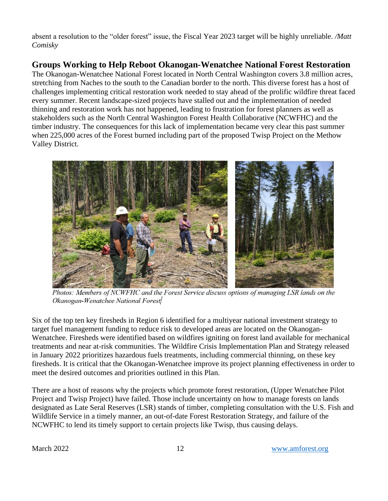absent a resolution to the "older forest" issue, the Fiscal Year 2023 target will be highly unreliable. */Matt Comisky*

### **Groups Working to Help Reboot Okanogan-Wenatchee National Forest Restoration**

The Okanogan-Wenatchee National Forest located in North Central Washington covers 3.8 million acres, stretching from Naches to the south to the Canadian border to the north. This diverse forest has a host of challenges implementing critical restoration work needed to stay ahead of the prolific wildfire threat faced every summer. Recent landscape-sized projects have stalled out and the implementation of needed thinning and restoration work has not happened, leading to frustration for forest planners as well as stakeholders such as the North Central Washington Forest Health Collaborative (NCWFHC) and the timber industry. The consequences for this lack of implementation became very clear this past summer when 225,000 acres of the Forest burned including part of the proposed Twisp Project on the Methow Valley District.



Photos: Members of NCWFHC and the Forest Service discuss options of managing LSR lands on the Okanogan-Wenatchee National Forest

Six of the top ten key firesheds in Region 6 identified for a multiyear national investment strategy to target fuel management funding to reduce risk to developed areas are located on the Okanogan-Wenatchee. Firesheds were identified based on wildfires igniting on forest land available for mechanical treatments and near at-risk communities. The Wildfire Crisis Implementation Plan and Strategy released in January 2022 prioritizes hazardous fuels treatments, including commercial thinning, on these key firesheds. It is critical that the Okanogan-Wenatchee improve its project planning effectiveness in order to meet the desired outcomes and priorities outlined in this Plan.

There are a host of reasons why the projects which promote forest restoration, (Upper Wenatchee Pilot Project and Twisp Project) have failed. Those include uncertainty on how to manage forests on lands designated as Late Seral Reserves (LSR) stands of timber, completing consultation with the U.S. Fish and Wildlife Service in a timely manner, an out-of-date Forest Restoration Strategy, and failure of the NCWFHC to lend its timely support to certain projects like Twisp, thus causing delays.